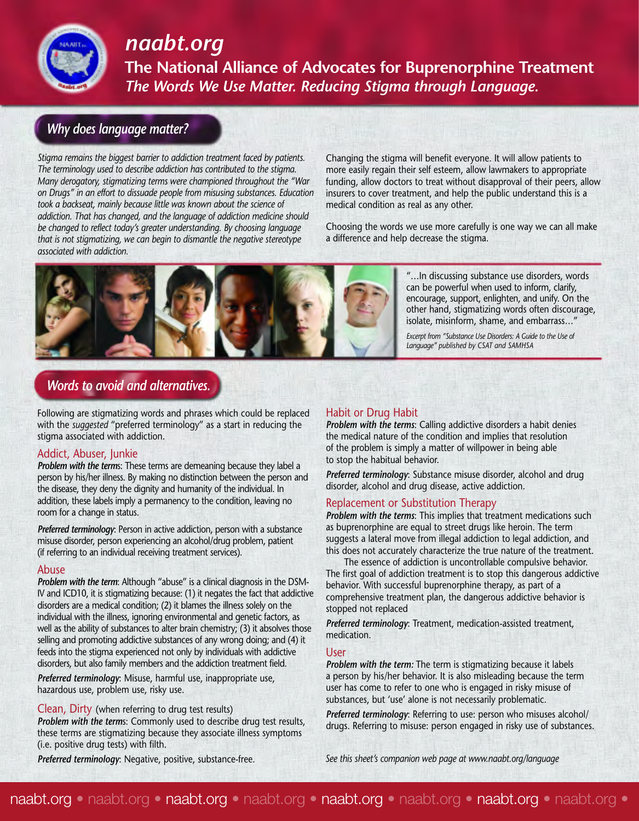

## *naabt.org*

**The National Alliance of Advocates for Buprenorphine Treatment** *The Words We Use Matter. Reducing Stigma through Language.*

## *Why does language matter?*

*Stigma remains the biggest barrier to addiction treatment faced by patients. The terminology used to describe addiction has contributed to the stigma. Many derogatory, stigmatizing terms were championed throughout the "War on Drugs" in an effort to dissuade people from misusing substances. Education took a backseat, mainly because little was known about the science of addiction. That has changed, and the language of addiction medicine should be changed to reflect today's greater understanding. By choosing language that is not stigmatizing, we can begin to dismantle the negative stereotype associated with addiction.* 

Changing the stigma will benefit everyone. It will allow patients to more easily regain their self esteem, allow lawmakers to appropriate funding, allow doctors to treat without disapproval of their peers, allow insurers to cover treatment, and help the public understand this is a medical condition as real as any other.

Choosing the words we use more carefully is one way we can all make a difference and help decrease the stigma.



"…In discussing substance use disorders, words can be powerful when used to inform, clarify, encourage, support, enlighten, and unify. On the other hand, stigmatizing words often discourage, isolate, misinform, shame, and embarrass…"

*Excerpt from "Substance Use Disorders: A Guide to the Use of Language" published by CSAT and SAMHSA*

### *Words to avoid and alternatives.*

Following are stigmatizing words and phrases which could be replaced with the *suggested* "preferred terminology" as a start in reducing the stigma associated with addiction.

#### Addict, Abuser, Junkie

*Problem with the term*s: These terms are demeaning because they label a person by his/her illness. By making no distinction between the person and the disease, they deny the dignity and humanity of the individual. In addition, these labels imply a permanency to the condition, leaving no room for a change in status.

*Preferred terminology*: Person in active addiction, person with a substance misuse disorder, person experiencing an alcohol/drug problem, patient (if referring to an individual receiving treatment services).

#### Abuse

*Problem with the term*: Although "abuse" is a clinical diagnosis in the DSM-IV and ICD10, it is stigmatizing because: (1) it negates the fact that addictive disorders are a medical condition; (2) it blames the illness solely on the individual with the illness, ignoring environmental and genetic factors, as well as the ability of substances to alter brain chemistry; (3) it absolves those selling and promoting addictive substances of any wrong doing; and (4) it feeds into the stigma experienced not only by individuals with addictive disorders, but also family members and the addiction treatment field.

*Preferred terminology*: Misuse, harmful use, inappropriate use, hazardous use, problem use, risky use.

Clean, Dirty (when referring to drug test results) *Problem with the term*s: Commonly used to describe drug test results, these terms are stigmatizing because they associate illness symptoms (i.e. positive drug tests) with filth.

#### Habit or Drug Habit

*Problem with the terms*: Calling addictive disorders a habit denies the medical nature of the condition and implies that resolution of the problem is simply a matter of willpower in being able to stop the habitual behavior.

*Preferred terminology*: Substance misuse disorder, alcohol and drug disorder, alcohol and drug disease, active addiction.

#### Replacement or Substitution Therapy

*Problem with the terms*: This implies that treatment medications such as buprenorphine are equal to street drugs like heroin. The term suggests a lateral move from illegal addiction to legal addiction, and this does not accurately characterize the true nature of the treatment.

The essence of addiction is uncontrollable compulsive behavior. The first goal of addiction treatment is to stop this dangerous addictive behavior. With successful buprenorphine therapy, as part of a comprehensive treatment plan, the dangerous addictive behavior is stopped not replaced

*Preferred terminology*: Treatment, medication-assisted treatment, medication.

#### User

*Problem with the term:* The term is stigmatizing because it labels a person by his/her behavior. It is also misleading because the term user has come to refer to one who is engaged in risky misuse of substances, but 'use' alone is not necessarily problematic.

*Preferred terminology*: Referring to use: person who misuses alcohol/ drugs. Referring to misuse: person engaged in risky use of substances.

*Preferred terminology*: Negative, positive, substance-free.

*See this sheet's companion web page at www.naabt.org/language*